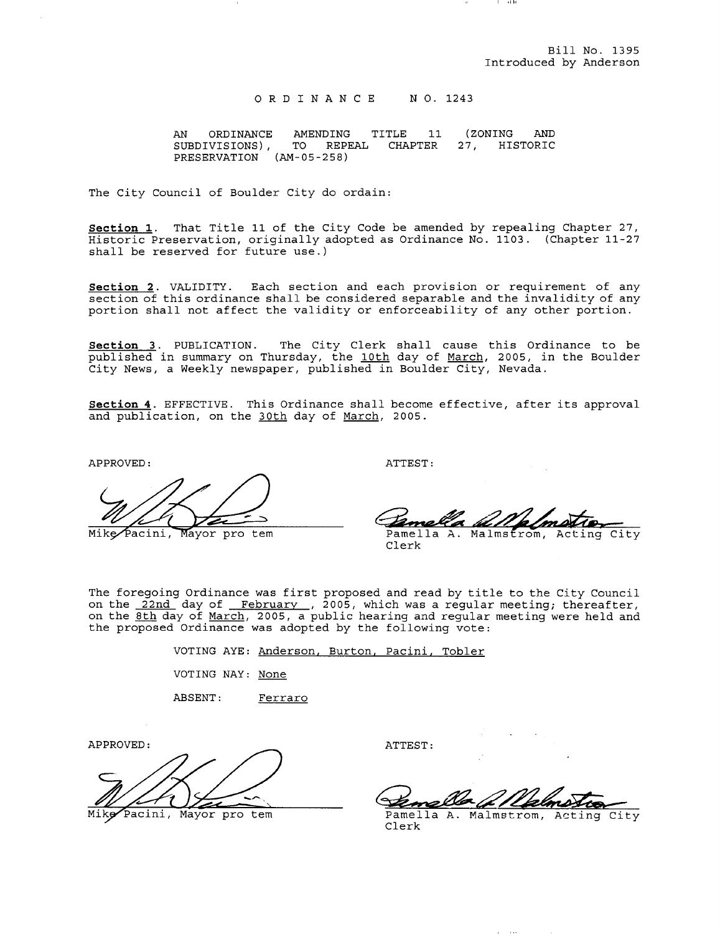$\cdots$ 

<sup>0</sup> <sup>R</sup> <sup>D</sup> I <sup>N</sup> <sup>A</sup> <sup>N</sup> <sup>C</sup> <sup>E</sup> <sup>N</sup> O. 1243

AN ORDINANCE AMENDING TITLE 11 (ZONING AND<br>SUBDIVISIONS), TO REPEAL CHAPTER 27, HISTORIC SUBDIVISIONS), TO REPEAL CHAPTER 27, PRESERVATION (AM-05-258)

The City Council of Boulder City do ordain:

Section 1. That Title 11 of the City Code be amended by repealing Chapter 27, Historic Preservation, originally adopted as Ordinance No. 1103. (Chapter 11-27 shall be reserved for future use.

Section 2. VALIDITY. Each section and each provision or requirement of any section of this ordinance shall be considered separable and the invalidity of any portion shall not affect the validity or enforceability of any other portion. Section 1. That Tile 11 of the City Code be amended by repealing Chapter 27,<br>
Historic Preservation, originally adopted as Ordinance No. 1103. (Chapter 11-27<br>
Historic Preservation, originally adopted as Ordinance No. 1103

Section 3. PUBLICATION. The City Clerk shall cause this Ordinance to be published in summary on Thursday, the 10th day of March, 2005, in the Boulder published in Bummary on Indisady, the <u>roan</u> day or <u>harsh</u>, 2005, 1.<br>City News, a Weekly newspaper, published in Boulder City, Nevada.

Section 4. EFFECTIVE. This Ordinance shall become effective, after its approval and publication, on the 30th day of March, 2005.

APPROVED:

ATTEST:

Pamella A. Malmstrom, Acting City

Clerk

The foregoing Ordinance was first proposed and read by title to the City Council on the 22nd day of February , 2005, which was a regular meeting; thereafter, on the <u>8th day of March</u>, 2005, a public hearing and regular meeting were held and the proposed Ordinance was adopted by the following vote:

> VOTING AYE: Anderson, Burton, Pacini, Tobler VOTING NAY: None

ABSENT: Ferraro

APPROVED:

Mike Pacini, Mayor pro tem

ATTEST:

Pamella A. Malmstrom, Acting City Clerk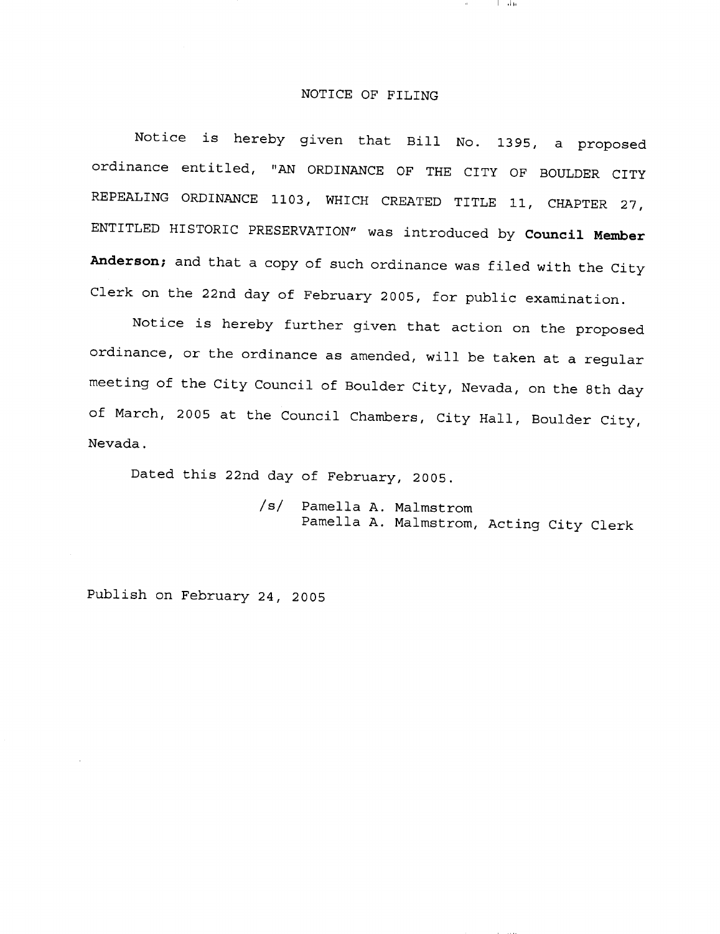## NOTICE OF FILING

تقلبا

Notice is hereby given that Bill No. 1395, <sup>a</sup> proposed ordinance entitled, "AN ORDINANCE OF THE CITY OF BOULDER CITY REPEALING ORDINANCE 1103, WHICH CREATED TITLE 11, CHAPTER 27, ENTITLED HISTORIC PRESERVATION" was introduced by Council Member Anderson; and that a copy of such ordinance was filed with the City Clerk on the 22nd day of February 2005, for public examination.

Notice is hereby further given that action on the proposed ordinance, or the ordinance as amended, will be taken at <sup>a</sup> regular meeting of the City Council of Boulder City, Nevada, on the 8th day of March, <sup>2005</sup> at the Council Chambers, City Hall, Boulder City, Nevada.

Dated this 22nd day of February, 2005.

s/ Pamella A. Malmstrom Pamella A. Malmstrom, Acting City Clerk

Publish on February 24, <sup>2005</sup>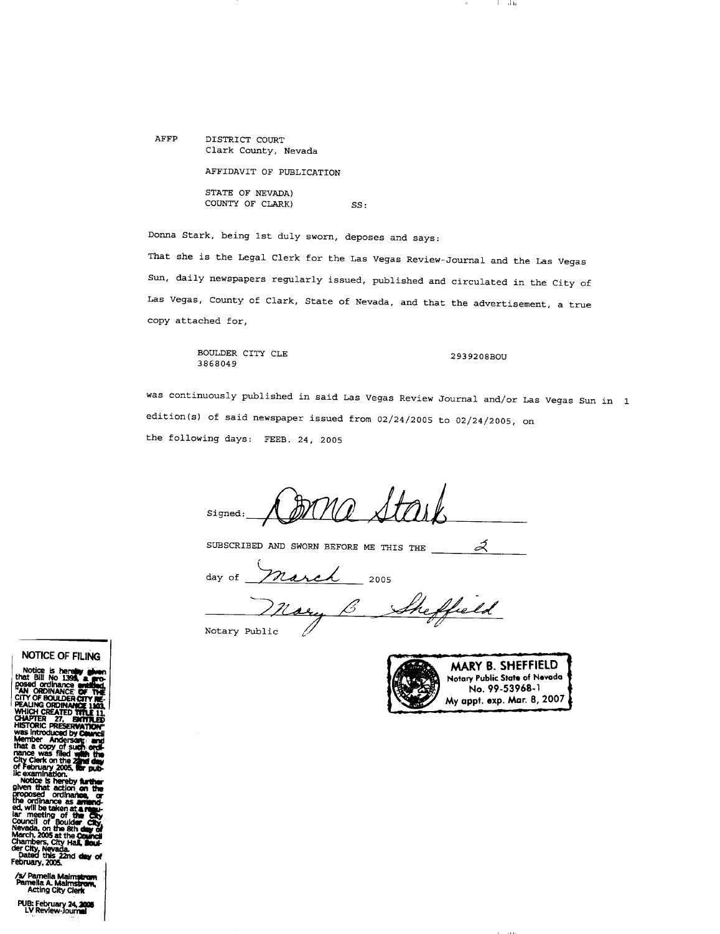AFFP DISTRICT COURT Clark County, Nevada AFFIDAVIT OF PUBLICATION

> STATE OF NEVADA) COUNTY OF CLARK) SS:

Donna Stark, being 1st duly sworn, deposes and says:

That she is the Legal Clerk for the Las Vegas Review-Journal and the Las Vegas Sun, daily newspapers regularly issued, published and circulated in the City of Las Vegas, County of Clark, State of Nevada, and that the advertisement, <sup>a</sup> true copy attached for,

> BOULDER CITY CLE 2939208BOU 3868049

والمتا

was continuously published in said Las Vegas Review Journal and/or Las Vegas Sun in was continuously published in said Las Vegas Review Journal and/or La<br>edition(s) of said newspaper issued from 02/24/2005 to 02/24/2005, on the following days: FEEB. 24, <sup>2005</sup>

Signed:

SUBSCRIBED AND SWORN BEFORE ME THIS THE Ź

day of *March* 2005

Sheffield nary

Notary Public



NOTICE OF FILlNG

I

WHICH CREATED TITLE 11 was introduced by **Ceuncil**<br>Member - Andersong: and<br>that a copy of su**ch: ordi-**<br>nance was filed w**ith** the

Clerk on the 2<br>sbruary 2005, Camination.<br>city Clerk action<br>of the continue of the Cordination.<br>Ordination as ordinance as a<br>ill be taken at<br>neeting of th the ordinance as arriand-<br>ed, will be taken at a regu-<br>lar meeting of the City.<br>Council of Boulder City. Nevada, on the 8th **day of**<br>March, 2005 at the **Council**<br>Chambor: City to L

/s/ Pamella Malmstrom<br>Pamella A. Malmstrom,<br>Acting City Clerk

PUB: February 24, 2006<br>LV Review-Journal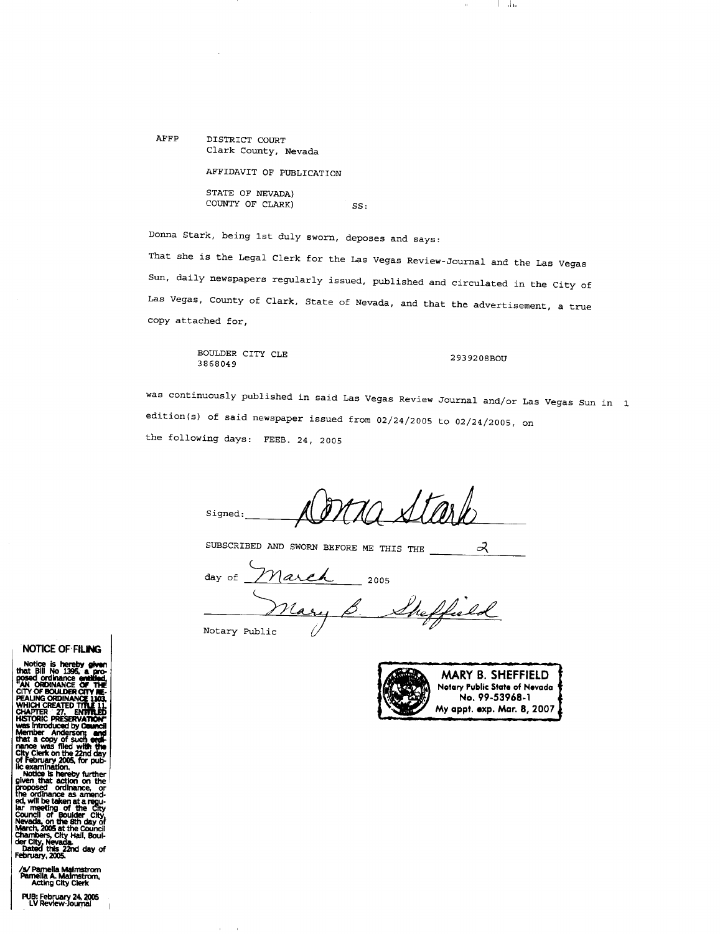AFFP DISTRICT COURT Clark County, Nevada

AFFIDAVIT OF PUBLICATION

STATE OF NEVADA) COUNTY OF CLARK) SS:

Donna Stark, being 1st duly sworn, deposes and says:

That she is the Legal Clerk for the Las Vegas Review-Journal and the Las Vegas Sun, daily newspapers regularly issued, published and circulated in the City of Las Vegas, County of Clark, State of Nevada, and that the advertisement, <sup>a</sup> true copy attached for,

> BOULDER CITY CLE 2939208BOU 3868049

والما

was continuously published in said Las Vegas Review Journal and/or Las Vegas Sun in was continuously published in said Las Vegas Review Journal and/or La<br>edition(s) of said newspaper issued from 02/24/2005 to 02/24/2005, on the following days: FEEB. 24, <sup>2005</sup>

Signed:

SUBSCRIBED AND SWORN BEFORE ME THIS THE  $\prec$ 

March day of 2005

 $\frac{\gamma_{\text{Nary}}}{\gamma_{\text{Notary Public}}}}$ 



## NOTICE OF'FILING

Notice is hereby given<br>that Bill No 1395, a pro-<br>posed ordinance emblight.<br>"AN ORDINANCE OF THE<br>CITY OF BOULDER CITY RE-<br>PEALING ORDINANCE 1103.<br>WHICH CREATED TITLE 11, nance was filed with the<br>City Clerk on the 22nd day

Notice is hereby further<br>given that action on the<br>proposed ordinance, or<br>the ordinance as amend-Council of Boulder City,<br>Nevada, on the 8th day of<br>March, 200S at the Council<br>Chambers, City Hail, Boul-<br>der City, Nevada.<br>Chamed this 22nd day of

Febmary, 2005.

/s/ Pamella Maimstrom<br>Pamella A. Maimstrom,<br>Acting City Clerk

PUB: February 24, 2005<br>LV Review-Journal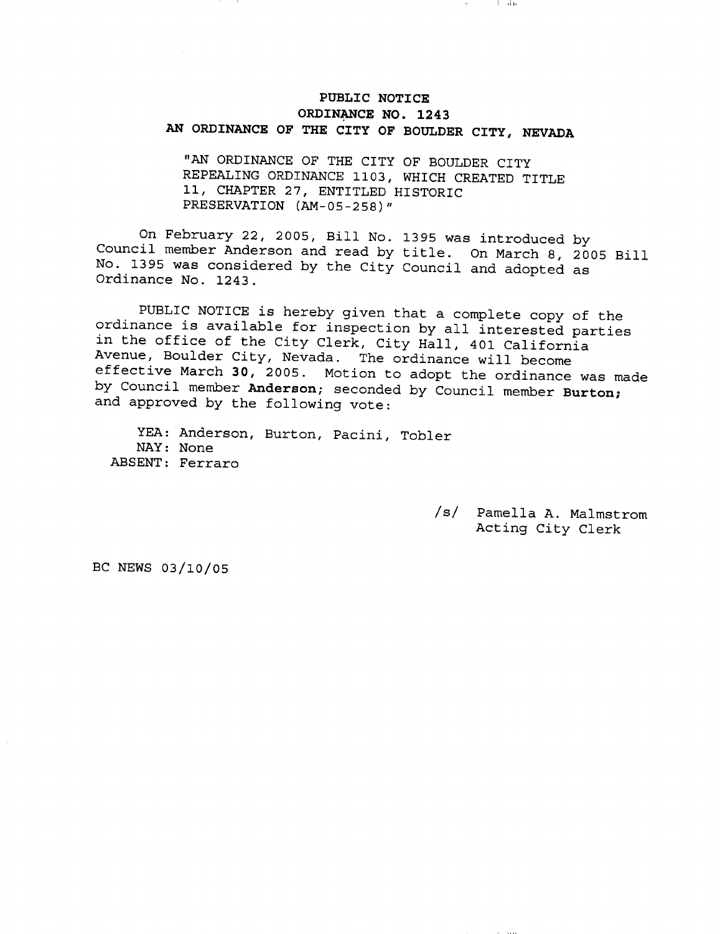## PUBLIC NOTICE ORDINANCE NO. 1243 AN ORDINANCE OF THE CITY OF BOULDER CITY, NEVADA

"AN ORDINANCE OF THE CITY OF BOULDER CITY REPEALING ORDINANCE 1103, WHICH CREATED TITLE<br>11, CHAPTER 27, ENTITLED HISTORIC<br>PRESERVATION (AM-05-258)" 11, CHAPTER 27, ENTITLED HISTORIC

On February 22, 2005, Bill No. <sup>1395</sup> was introduced by Council member Anderson and read by title. On March 8, <sup>2005</sup> Bill No. <sup>1395</sup> was considered by the City Council and adopted as Ordinance No. 1243.

PUBLIC NOTICE is hereby given that <sup>a</sup> complete copy of the ordinance is available for inspection by all interested parties in the office of the City Clerk, City Hall, <sup>401</sup> California Avenue, Boulder City, Nevada. The ordinance will become effective March 30, 2005. Motion to adopt the ordinance was made by Council member Anderson; seconded by Council member Burton; and approved by the following vote:

YEA: Anderson, Burton, Pacini, Tobler NAY: None ABSENT: Ferraro

> s/ Pamella A. Malmstrom Acting City Clerk

BC NEWS 03/10/05